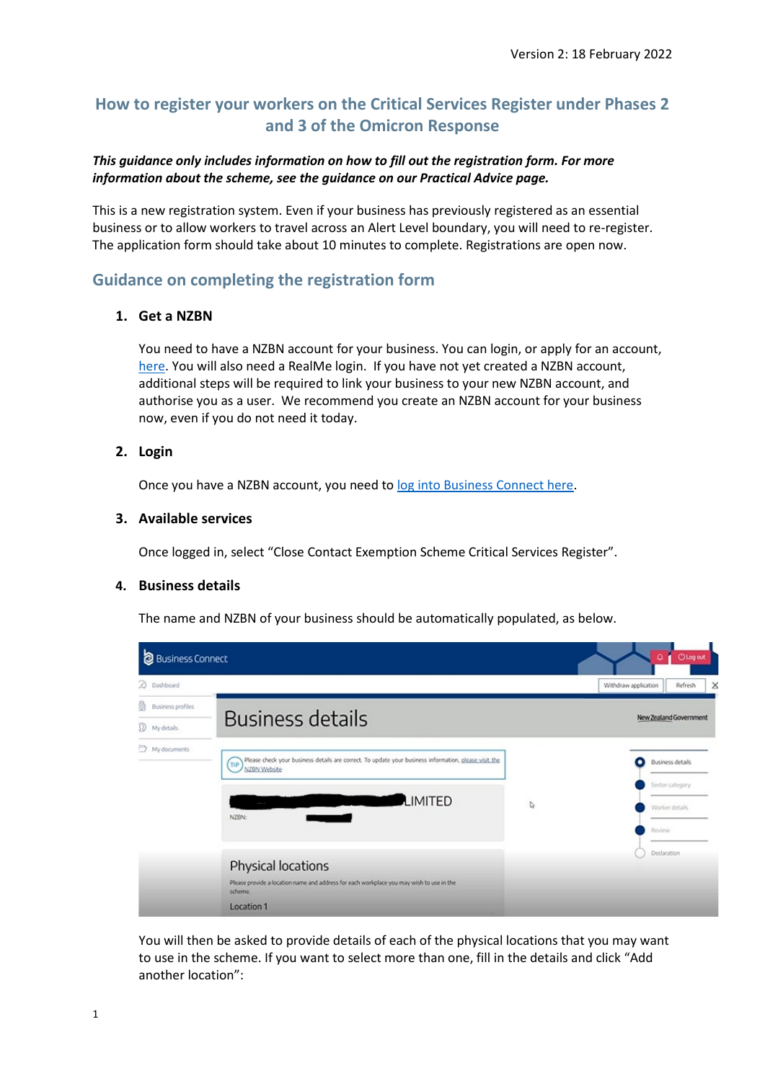# **How to register your workers on the Critical Services Register under Phases 2 and 3 of the Omicron Response**

## *This guidance only includes information on how to fill out the registration form. For more information about the scheme, see the guidance on our Practical Advice page.*

This is a new registration system. Even if your business has previously registered as an essential business or to allow workers to travel across an Alert Level boundary, you will need to re-register. The application form should take about 10 minutes to complete. Registrations are open now.

## **Guidance on completing the registration form**

## **1. Get a NZBN**

You need to have a NZBN account for your business. You can login, or apply for an account, [here.](https://www.nzbn.govt.nz/mynzbn/login/) You will also need a RealMe login. If you have not yet created a NZBN account, additional steps will be required to link your business to your new NZBN account, and authorise you as a user. We recommend you create an NZBN account for your business now, even if you do not need it today.

## **2. Login**

Once you have a NZBN account, you need to [log into Business Connect](https://services.businessconnect.govt.nz/) here.

## **3. Available services**

Once logged in, select "Close Contact Exemption Scheme Critical Services Register".

## **4. Business details**

The name and NZBN of your business should be automatically populated, as below.

| 2 Dashboard            |                                                                                                                              |    | ×<br>Withdraw application<br>Refresh |
|------------------------|------------------------------------------------------------------------------------------------------------------------------|----|--------------------------------------|
| a<br>Business profiles |                                                                                                                              |    |                                      |
| 1 My details           | <b>Business details</b>                                                                                                      |    | New Zealand Government               |
| My documents           | Please check your business details are correct. To update your business information, please visit the<br>TIP<br>NZBN Website |    | Business details<br>٠                |
|                        | LIMITED                                                                                                                      | t, | Sector category<br>Worker details    |
|                        | NZBN:                                                                                                                        |    | Review                               |
|                        | Physical locations                                                                                                           |    | Declaration                          |
|                        | Please provide a location name and address for each workplace you may wish to use in the<br>scheme.                          |    |                                      |
|                        | <b>Location 1</b>                                                                                                            |    |                                      |

You will then be asked to provide details of each of the physical locations that you may want to use in the scheme. If you want to select more than one, fill in the details and click "Add another location":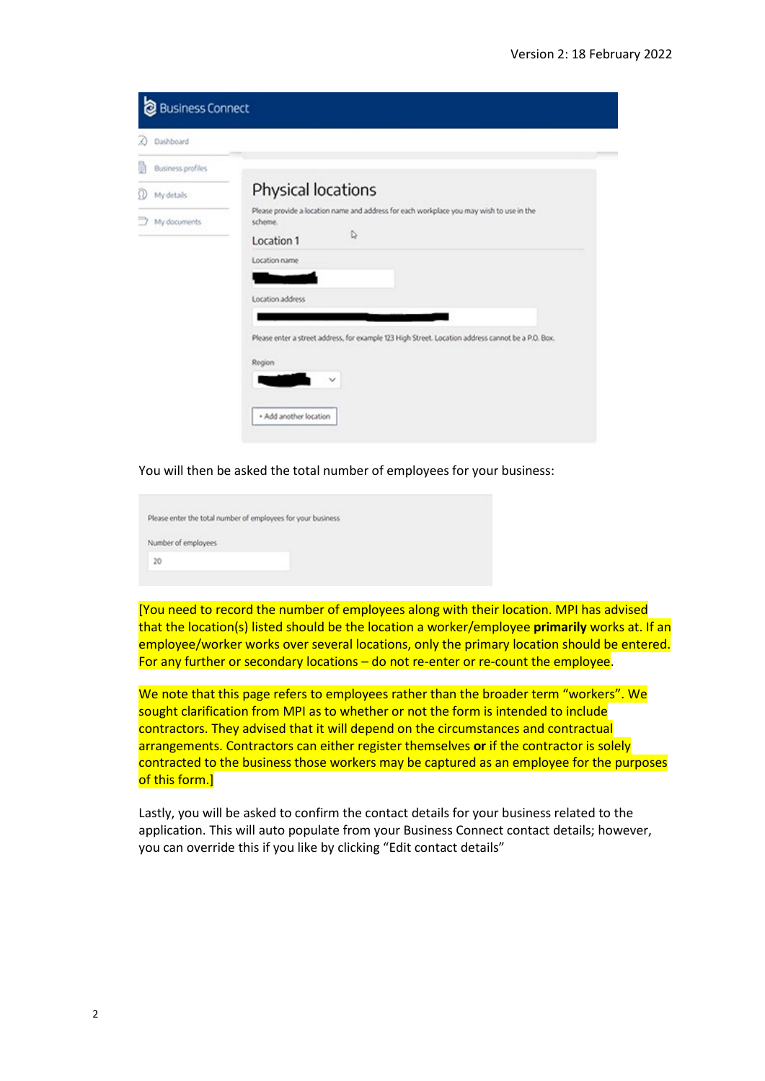| Dashboard<br>D                |                                                                                                     |
|-------------------------------|-----------------------------------------------------------------------------------------------------|
| <b>Business profiles</b>      |                                                                                                     |
| D<br>My details               | Physical locations                                                                                  |
| $\Rightarrow$<br>My documents | Please provide a location name and address for each workplace you may wish to use in the<br>scheme. |
|                               | D.<br>Location 1                                                                                    |
|                               | Location name                                                                                       |
|                               |                                                                                                     |
|                               | Location address                                                                                    |
|                               |                                                                                                     |
|                               | Please enter a street address, for example 123 High Street. Location address cannot be a P.O. Box.  |
|                               | Region                                                                                              |
|                               | v                                                                                                   |
|                               |                                                                                                     |
|                               | · Add another location                                                                              |

You will then be asked the total number of employees for your business:

| Please enter the total number of employees for your business |  |  |
|--------------------------------------------------------------|--|--|
| Number of employees                                          |  |  |
| 20                                                           |  |  |

[You need to record the number of employees along with their location. MPI has advised that the location(s) listed should be the location a worker/employee **primarily** works at. If an employee/worker works over several locations, only the primary location should be entered. For any further or secondary locations – do not re-enter or re-count the employee.

We note that this page refers to employees rather than the broader term "workers". We sought clarification from MPI as to whether or not the form is intended to include contractors. They advised that it will depend on the circumstances and contractual arrangements. Contractors can either register themselves **or** if the contractor is solely contracted to the business those workers may be captured as an employee for the purposes of this form.]

Lastly, you will be asked to confirm the contact details for your business related to the application. This will auto populate from your Business Connect contact details; however, you can override this if you like by clicking "Edit contact details"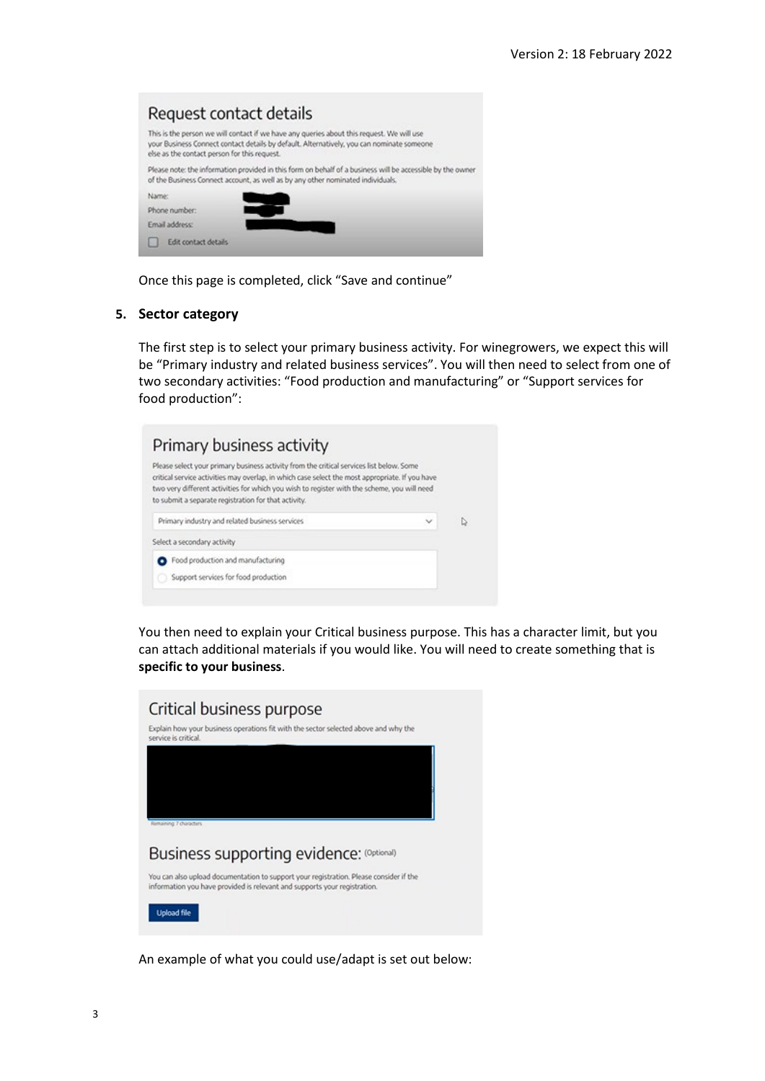|                                              | Request contact details                                                                                                                                                                     |
|----------------------------------------------|---------------------------------------------------------------------------------------------------------------------------------------------------------------------------------------------|
| else as the contact person for this request. | This is the person we will contact if we have any queries about this request. We will use<br>your Business Connect contact details by default. Alternatively, you can nominate someone      |
|                                              | Please note: the information provided in this form on behalf of a business will be accessible by the own<br>of the Business Connect account, as well as by any other nominated individuals. |
| Name:                                        |                                                                                                                                                                                             |
| Phone number:                                |                                                                                                                                                                                             |
| Email address:                               |                                                                                                                                                                                             |
| Edit contact details                         |                                                                                                                                                                                             |

Once this page is completed, click "Save and continue"

#### **5. Sector category**

The first step is to select your primary business activity. For winegrowers, we expect this will be "Primary industry and related business services". You will then need to select from one of two secondary activities: "Food production and manufacturing" or "Support services for food production":



You then need to explain your Critical business purpose. This has a character limit, but you can attach additional materials if you would like. You will need to create something that is **specific to your business**.



An example of what you could use/adapt is set out below: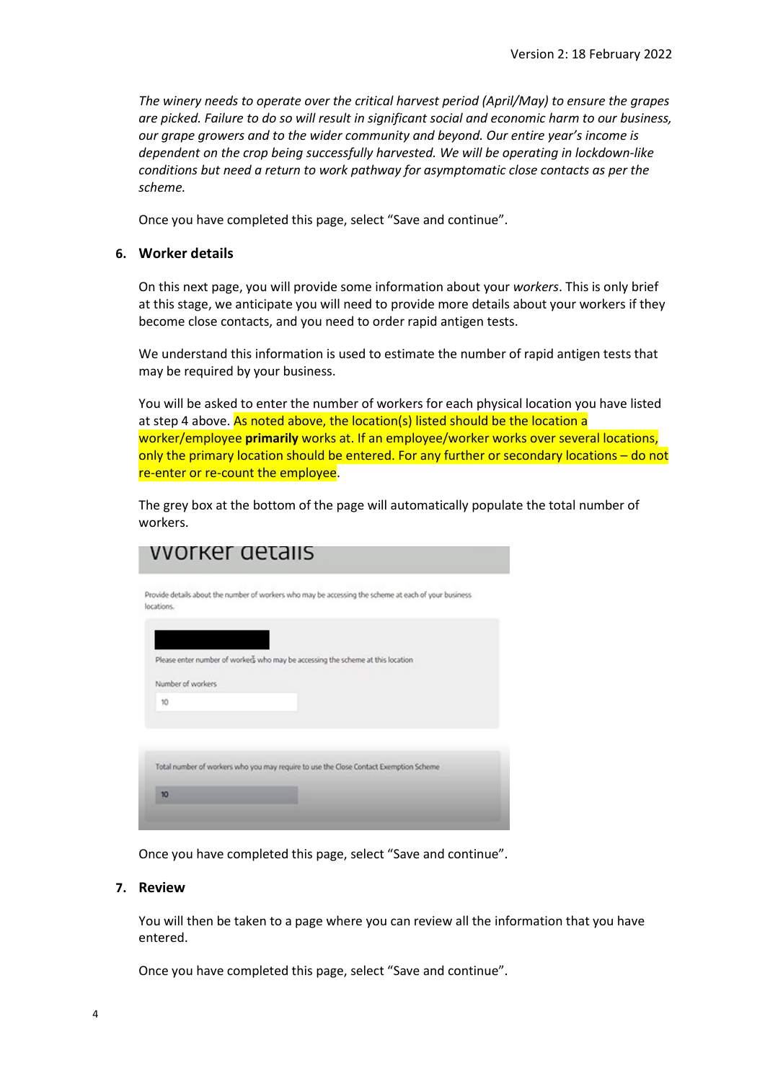*The winery needs to operate over the critical harvest period (April/May) to ensure the grapes are picked. Failure to do so will result in significant social and economic harm to our business, our grape growers and to the wider community and beyond. Our entire year's income is dependent on the crop being successfully harvested. We will be operating in lockdown-like conditions but need a return to work pathway for asymptomatic close contacts as per the scheme.* 

Once you have completed this page, select "Save and continue".

#### **6. Worker details**

On this next page, you will provide some information about your *workers*. This is only brief at this stage, we anticipate you will need to provide more details about your workers if they become close contacts, and you need to order rapid antigen tests.

We understand this information is used to estimate the number of rapid antigen tests that may be required by your business.

You will be asked to enter the number of workers for each physical location you have listed at step 4 above. As noted above, the location(s) listed should be the location a worker/employee **primarily** works at. If an employee/worker works over several locations, only the primary location should be entered. For any further or secondary locations – do not re-enter or re-count the employee.

The grey box at the bottom of the page will automatically populate the total number of workers.

|                   | VVOrker details                                                                                      |
|-------------------|------------------------------------------------------------------------------------------------------|
| locations.        | Provide details about the number of workers who may be accessing the scheme at each of your business |
|                   |                                                                                                      |
|                   | Please enter number of workeds who may be accessing the scheme at this location                      |
| Number of workers |                                                                                                      |
| 10                |                                                                                                      |
|                   |                                                                                                      |
|                   | Total number of workers who you may require to use the Close Contact Exemption Scheme                |
| 10 <sub>10</sub>  |                                                                                                      |
|                   |                                                                                                      |

Once you have completed this page, select "Save and continue".

#### **7. Review**

You will then be taken to a page where you can review all the information that you have entered.

Once you have completed this page, select "Save and continue".